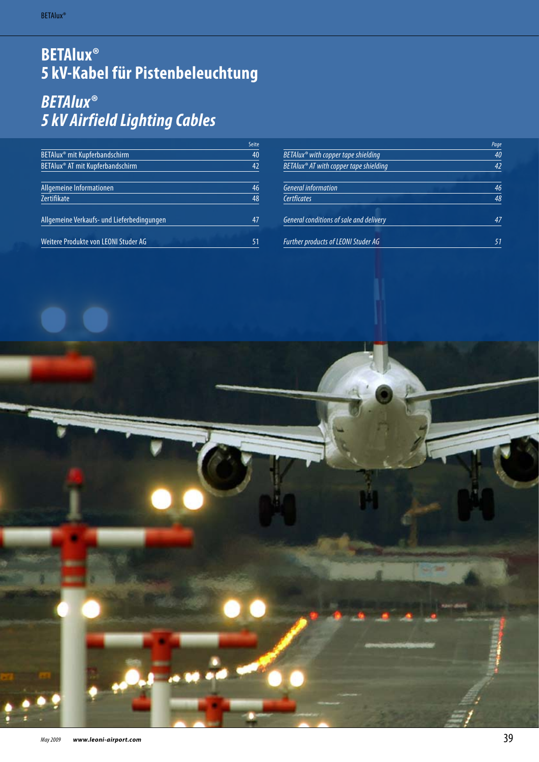# **BETAlux® 5 kV-Kabel für Pistenbeleuchtung**

# *BETAlux® 5 kV Airfield Lighting Cables*

|                                            | Seite |
|--------------------------------------------|-------|
| BETAIux® mit Kupferbandschirm              | 40    |
| BETAIux® AT mit Kupferbandschirm           | 42    |
|                                            |       |
| Allgemeine Informationen                   | 46    |
| Zertifikate                                | 48    |
| Allgemeine Verkaufs- und Lieferbedingungen | 47    |
| Weitere Produkte von LEONI Studer AG       | 51    |

|                                                    | Page |
|----------------------------------------------------|------|
| $BETAlux^{\circledast}$ with copper tape shielding | 40   |
| BETAlux® AT with copper tape shielding             | 42   |
|                                                    |      |
| <b>General information</b>                         | 46   |
| Certficates                                        | 48   |
| General conditions of sale and delivery            | 47   |
| <b>Further products of LEONI Studer AG</b>         | 51   |

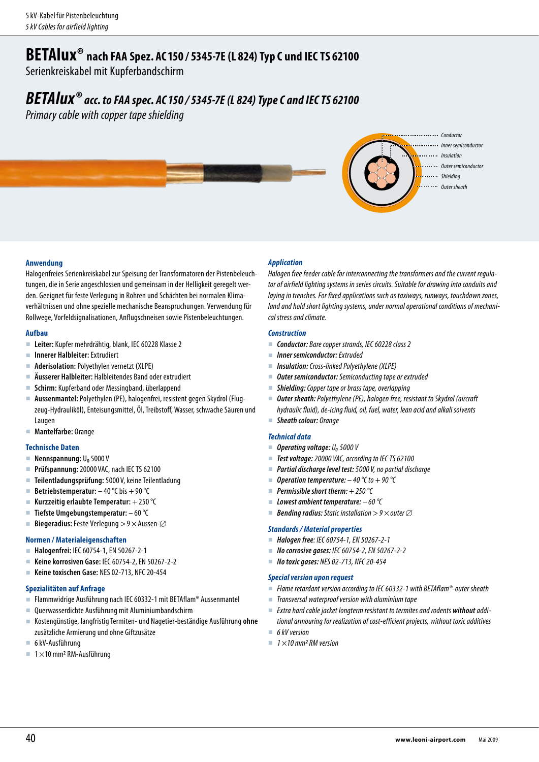## **BETAlux®****nach FAA Spez. AC150 / 5345-7E (L 824) Typ C und IEC TS <sup>62100</sup>**

Serienkreiskabel mit Kupferbandschirm

## *BETAlux® acc. to FAA spec. AC150 / 5345-7E (L 824) TypeC and IEC TS <sup>62100</sup>*

*Primary cable with copper tape shielding* 



### **Anwendung**

Halogenfreies Serienkreiskabel zur Speisung der Transformatoren der Pistenbeleuchtungen, die in Serie angeschlossen und gemeinsam in der Helligkeit geregelt werden. Geeignet für feste Verlegung in Rohren und Schächten bei normalen Klimaverhältnissen und ohne spezielle mechanische Beanspruchungen. Verwendung für Rollwege, Vorfeldsignalisationen, Anflugschneisen sowie Pistenbeleuchtungen.

### **Aufbau**

- **Leiter:** Kupfer mehrdrähtig, blank, IEC 60228 Klasse 2
- **Innerer Halbleiter:** Extrudiert
- **Aderisolation:** Polyethylen vernetzt **(**XLPE)
- **Äusserer Halbleiter:** Halbleitendes Band oder extrudiert
- **Schirm:** Kupferband oder Messingband, überlappend
- **Aussenmantel:** Polyethylen (PE), halogenfrei, resistent gegen Skydrol (Flugzeug-Hydrauliköl), Enteisungsmittel, Öl, Treibstoff, Wasser, schwache Säuren und Laugen
- **Mantelfarbe:** Orange

### **Technische Daten**

- **Nennspannung: U**<sub>0</sub> 5000 V
- **Prüfspannung:** 20000 VAC, nach IEC TS 62100
- **Teilentladungsprüfung:** 5000 V, keine Teilentladung
- **Betriebstemperatur:** 40°C bis + 90°C
- **Kurzzeitig erlaubte Temperatur:** + 250°C
- **Tiefste Umgebungstemperatur:**  60°C
- Biegeradius: Feste Verlegung > 9  $\times$  Aussen- $\oslash$

### **Normen / Materialeigenschaften**

- **Halogenfrei:** IEC 60754-1, EN 50267-2-1
- **Keine korrosiven Gase:** IEC 60754-2, EN 50267-2-2
- **Keine toxischen Gase:** NES 02-713, NFC 20-454

### **Spezialitäten auf Anfrage**

- Flammwidrige Ausführung nach IEC 60332-1 mit BETAflam® Aussenmantel
- Querwasserdichte Ausführung mit Aluminiumbandschirm
- Kostengünstige, langfristig Termiten- und Nagetier-beständige Ausführung **ohne** zusätzliche Armierung und ohne Giftzusätze
- 6kV-Ausführung
- $\blacksquare$  1 × 10 mm<sup>2</sup> RM-Ausführung

### *Application*

*Halogen free feeder cable for interconnecting the transformers and the current regulator of airfield lighting systems in series circuits. Suitable for drawing into conduits and laying in trenches. For fixed applications such as taxiways, runways, touchdown zones, land and hold short lighting systems, under normal operational conditions of mechanical stress and climate.*

### *Construction*

- *Conductor: Bare copper strands, IEC 60228 class 2*
- *Inner semiconductor: Extruded*
- *Insulation: Cross-linked Polyethylene (XLPE)*
- *Outer semiconductor: Semiconducting tape or extruded*
- *Shielding: Copper tape or brass tape, overlapping*
- *Outer sheath: Polyethylene (PE), halogen free, resistant to Skydrol (aircraft hydraulic fluid), de-icing fluid, oil, fuel, water, lean acid and alkali solvents*
- *Sheath colour: Orange*

### *Technical data*

- *Operating voltage: U₀5000 V*
- *Test voltage: 20000 VAC, according to IEC TS 62100*
- *Partial discharge level test: 5000 V, no partial discharge*
- *Operation temperature: – 40°C to + 90°C*
- *Permissible short therm: + 250°C*
- *Lowest ambient temperature: – 60°C*
- *Bending radius: Static installation > 9 × outer*

### *Standards / Material properties*

- *Halogen free: IEC 60754-1, EN 50267-2-1*
- *No corrosive gases: IEC 60754-2, EN 50267-2-2*
- *No toxic gases: NES 02-713, NFC 20-454*

### *Special version upon request*

- *Flame retardant version according to IEC 60332-1 with BETAflam®-outer sheath*
- *Transversal waterproof version with aluminium tape*
- *Extra hard cable jacket longterm resistant to termites and rodents without additional armouring for realization of cost-efficient projects, without toxic additives*
- *6kV version*
- 1×10 mm<sup>2</sup> RM version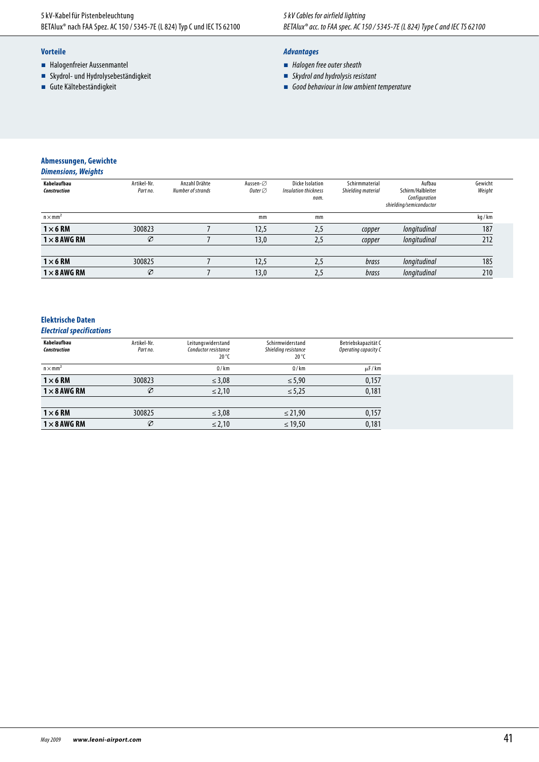- Halogenfreier Aussenmantel
- Skydrol- und Hydrolysebeständigkeit
- **Gute Kältebeständigkeit**

### *Advantages*

- *Halogen free outer sheath*
- *Skydrol and hydrolysis resistant*
- *Good behaviour in low ambient temperature*

## **Abmessungen, Gewichte**

| Kabelaufbau<br><b>Construction</b> | Artikel-Nr.<br>Part no. | Anzahl Drähte<br>Number of strands | Aussen-⊘<br>Outer $\varnothing$ | <b>Dicke Isolation</b><br>Insulation thickness<br>nom. | Schirmmaterial<br>Shielding material | Aufbau<br>Schirm/Halbleiter<br>Configuration<br>shielding/semiconductor | Gewicht<br>Weight |
|------------------------------------|-------------------------|------------------------------------|---------------------------------|--------------------------------------------------------|--------------------------------------|-------------------------------------------------------------------------|-------------------|
| $n \times mm^2$                    |                         |                                    | mm                              | mm                                                     |                                      |                                                                         | kg/km             |
| $1 \times 6$ RM                    | 300823                  |                                    | 12,5                            | 2,5                                                    | copper                               | longitudinal                                                            | 187               |
| $1 \times 8$ AWG RM                | Ø                       |                                    | 13,0                            | 2,5                                                    | copper                               | longitudinal                                                            | 212               |
| $1\times 6$ RM                     | 300825                  |                                    | 12,5                            | 2,5                                                    | brass                                | longitudinal                                                            | 185               |
| $1 \times 8$ AWG RM                | Ø                       |                                    | 13,0                            | 2,5                                                    | brass                                | longitudinal                                                            | 210               |
|                                    |                         |                                    |                                 |                                                        |                                      |                                                                         |                   |

### **Elektrische Daten**

### *Electrical specifications*

| Kabelaufbau<br><b>Construction</b> | Artikel-Nr.<br>Part no. | Leitungswiderstand<br>Conductor resistance<br>$20^{\circ}$ C | Schirmwiderstand<br>Shielding resistance<br>$20^{\circ}$ C | Betriebskapazität C<br>Operating capacity C |
|------------------------------------|-------------------------|--------------------------------------------------------------|------------------------------------------------------------|---------------------------------------------|
| $n \times mm^2$                    |                         | $\Omega$ / km                                                | $\Omega$ /km                                               | $\mu$ F/km                                  |
| $1 \times 6$ RM                    | 300823                  | $\leq$ 3,08                                                  | $\leq 5,90$                                                | 0,157                                       |
| $1 \times 8$ AWG RM                | $\varnothing$           | $\leq$ 2.10                                                  | $\le 5,25$                                                 | 0,181                                       |
|                                    |                         |                                                              |                                                            |                                             |
| $1\times 6$ RM                     | 300825                  | $\leq$ 3,08                                                  | $\leq$ 21,90                                               | 0,157                                       |
| $1 \times 8$ AWG RM                | $\varnothing$           | $\leq$ 2,10                                                  | $\leq 19,50$                                               | 0,181                                       |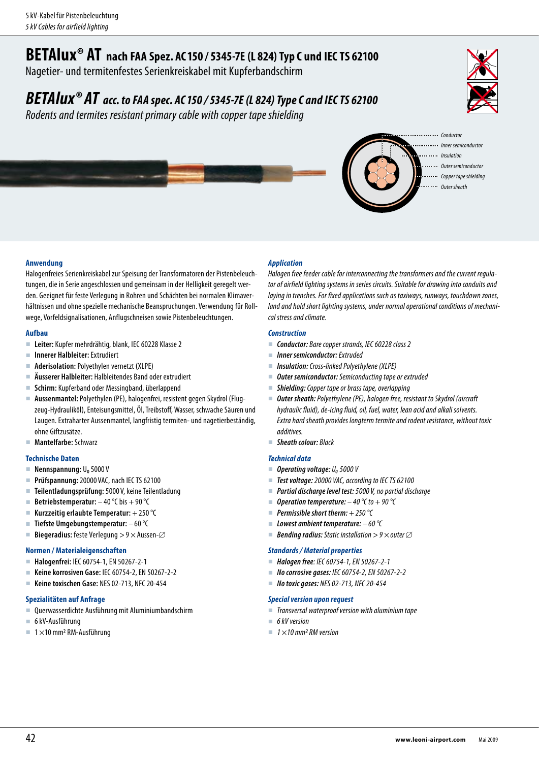# **BETAlux® AT nach FAA Spez. AC150 / 5345-7E (L 824) Typ C und IEC TS <sup>62100</sup>**

Nagetier- und termitenfestes Serienkreiskabel mit Kupferbandschirm

## *BETAlux® AT acc. to FAA spec. AC150 / 5345-7E (L 824) TypeC and IEC TS <sup>62100</sup>*

*Rodents and termites resistant primary cable with copper tape shielding* 





- 
- *Inner semiconductor*
- 
- *Outer semiconductor*
- *Copper tape shielding*
- *Outer sheath*

### **Anwendung**

Halogenfreies Serienkreiskabel zur Speisung der Transformatoren der Pistenbeleuchtungen, die in Serie angeschlossen und gemeinsam in der Helligkeit geregelt werden. Geeignet für feste Verlegung in Rohren und Schächten bei normalen Klimaverhältnissen und ohne spezielle mechanische Beanspruchungen. Verwendung für Rollwege, Vorfeldsignalisationen, Anflugschneisen sowie Pistenbeleuchtungen.

### **Aufbau**

- **Leiter:** Kupfer mehrdrähtig, blank, IEC 60228 Klasse 2
- **Innerer Halbleiter:** Extrudiert
- **Aderisolation:** Polyethylen vernetzt **(**XLPE)
- **Äusserer Halbleiter:** Halbleitendes Band oder extrudiert
- **Schirm:** Kupferband oder Messingband, überlappend
- **Aussenmantel:** Polyethylen (PE), halogenfrei, resistent gegen Skydrol (Flugzeug-Hydrauliköl), Enteisungsmittel, Öl, Treibstoff, Wasser, schwache Säuren und Laugen. Extraharter Aussenmantel, langfristig termiten- und nagetierbeständig, ohne Giftzusätze.
- **Mantelfarbe:** Schwarz

### **Technische Daten**

- Nennspannung: U<sub>o</sub> 5000 V
- **Prüfspannung:** 20000 VAC, nach IEC TS 62100
- **Teilentladungsprüfung:** 5000 V, keine Teilentladung
- **Betriebstemperatur:**  $-40^{\circ}$ C bis  $+90^{\circ}$ C
- **Kurzzeitig erlaubte Temperatur:** + 250°C
- **Tiefste Umgebungstemperatur:**  60°C
- Biegeradius: feste Verlegung > 9  $\times$  Aussen- $\oslash$

### **Normen / Materialeigenschaften**

- **Halogenfrei:** IEC 60754-1, EN 50267-2-1
- **Keine korrosiven Gase:** IEC 60754-2, EN 50267-2-2
- **Keine toxischen Gase:** NES 02-713, NFC 20-454

### **Spezialitäten auf Anfrage**

- Querwasserdichte Ausführung mit Aluminiumbandschirm
- 6kV-Ausführung
- $\blacksquare$  1 × 10 mm<sup>2</sup> RM-Ausführung

### *Application*

*Halogen free feeder cable for interconnecting the transformers and the current regulator of airfield lighting systems in series circuits. Suitable for drawing into conduits and laying in trenches. For fixed applications such as taxiways, runways, touchdown zones, land and hold short lighting systems, under normal operational conditions of mechanical stress and climate.*

### *Construction*

- *Conductor: Bare copper strands, IEC 60228 class 2*
- *Inner semiconductor: Extruded*
- *Insulation: Cross-linked Polyethylene (XLPE)*
- *Outer semiconductor: Semiconducting tape or extruded*
- *Shielding: Copper tape or brass tape, overlapping*
- *Outer sheath: Polyethylene (PE), halogen free, resistant to Skydrol (aircraft hydraulic fluid), de-icing fluid, oil, fuel, water, lean acid and alkali solvents. Extra hard sheath provides longterm termite and rodent resistance, without toxic additives.*
- *Sheath colour: Black*

### *Technical data*

- *Operating voltage: U*<sub>0</sub> 5000 *V*
- *Test voltage: 20000 VAC, according to IEC TS 62100*
- *Partial discharge level test: 5000 V, no partial discharge*
- *Operation temperature: – 40°C to + 90°C*
- *Permissible short therm: + 250°C*
- *Lowest ambient temperature: – 60°C*
- **Bending radius:** Static installation  $> 9 \times$  outer  $\varnothing$

### *Standards / Material properties*

- *Halogen free: IEC 60754-1, EN 50267-2-1*
- *No corrosive gases: IEC 60754-2, EN 50267-2-2*
- *No toxic gases: NES 02-713, NFC 20-454*

### *Special version upon request*

- *Transversal waterproof version with aluminium tape*
- *6kV version*
	- $\blacksquare$  1 × 10 mm<sup>2</sup> RM version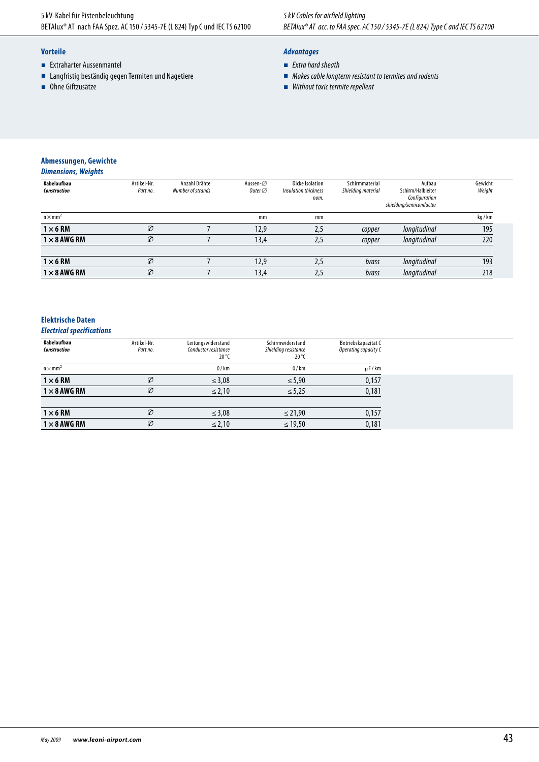### **Vorteile**

- **Extraharter Aussenmantel**
- Langfristig beständig gegen Termiten und Nagetiere
- Ohne Giftzusätze

### *Advantages*

- *Extra hard sheath*
- *Makes cable longterm resistant to termites and rodents*
- *Without toxic termite repellent*

## **Abmessungen, Gewichte**

| <b>Dimensions, Weights</b> |  |  |
|----------------------------|--|--|
|----------------------------|--|--|

| Artikel-Nr.<br>Part no. | Anzahl Drähte<br>Number of strands | Aussen-⊘<br>Outer $\varnothing$ | <b>Dicke Isolation</b><br>Insulation thickness<br>nom. | Schirmmaterial<br>Shielding material | Aufbau<br>Schirm/Halbleiter<br>Configuration | Gewicht<br>Weight       |
|-------------------------|------------------------------------|---------------------------------|--------------------------------------------------------|--------------------------------------|----------------------------------------------|-------------------------|
|                         |                                    | mm                              | mm                                                     |                                      |                                              | kg/km                   |
| Ø                       |                                    | 12,9                            | 2,5                                                    | copper                               | longitudinal                                 | 195                     |
| Ø                       |                                    | 13,4                            | 2,5                                                    | copper                               | longitudinal                                 | 220                     |
| Ø                       |                                    | 12,9                            | 2,5                                                    | brass                                | longitudinal                                 | 193                     |
| Ø                       |                                    | 13,4                            | 2,5                                                    | brass                                | longitudinal                                 | 218                     |
|                         |                                    |                                 |                                                        |                                      |                                              | shielding/semiconductor |

### **Elektrische Daten**

### *Electrical specifications*

| Kabelaufbau<br>Construction | Artikel-Nr.<br>Part no. | Leitungswiderstand<br>Conductor resistance<br>$20^{\circ}$ C | Schirmwiderstand<br>Shielding resistance<br>$20^{\circ}$ C | Betriebskapazität C<br>Operating capacity C |
|-----------------------------|-------------------------|--------------------------------------------------------------|------------------------------------------------------------|---------------------------------------------|
| $n \times mm2$              |                         | $\Omega$ / km                                                | $\Omega$ /km                                               | $\mu$ F/km                                  |
| $1 \times 6$ RM             | Ø                       | $\leq 3.08$                                                  | $\leq 5.90$                                                | 0,157                                       |
| $1 \times 8$ AWG RM         | Ø                       | $\leq$ 2,10                                                  | $\leq 5.25$                                                | 0,181                                       |
| $1\times 6$ RM              | Ø                       | $\leq$ 3,08                                                  | $\leq$ 21,90                                               | 0,157                                       |
| $1 \times 8$ AWG RM         | Ø                       | $\leq$ 2,10                                                  | $\leq$ 19,50                                               | 0,181                                       |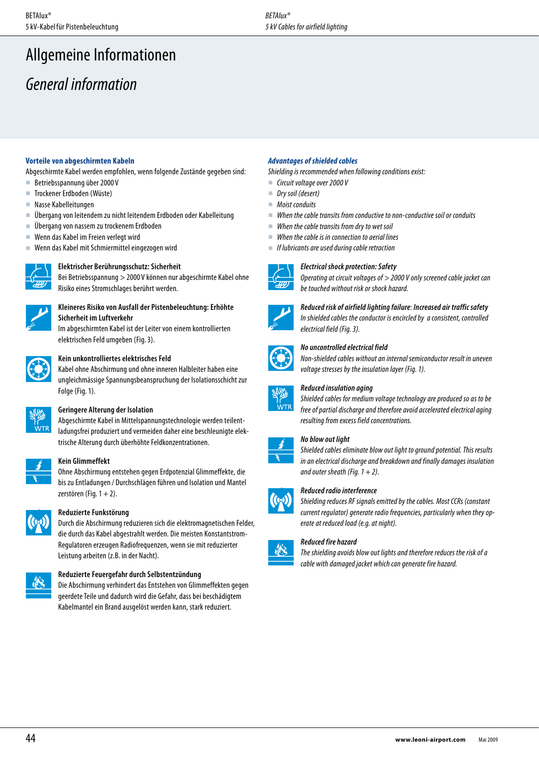# Allgemeine Informationen

# *General information*

### **Vorteile von abgeschirmten Kabeln**

Abgeschirmte Kabel werden empfohlen, wenn folgende Zustände gegeben sind:

- Betriebsspannung über 2000 V
- Trockener Erdboden (Wüste)
- Nasse Kabelleitungen
- Übergang von leitendem zu nicht leitendem Erdboden oder Kabelleitung
- Übergang von nassem zu trockenem Erdboden
- Wenn das Kabel im Freien verlegt wird
- Wenn das Kabel mit Schmiermittel eingezogen wird



### **Elektrischer Berührungsschutz:Sicherheit**

Bei Betriebsspannung > 2000 V können nur abgeschirmte Kabel ohne Risiko eines Stromschlages berührt werden.



### **Kleineres Risiko von Ausfall der Pistenbeleuchtung: Erhöhte Sicherheit im Luftverkehr**

Im abgeschirmten Kabel ist der Leiter von einem kontrollierten elektrischen Feld umgeben (Fig.3).



### **Kein unkontrolliertes elektrisches Feld**

Kabel ohne Abschirmung und ohne inneren Halbleiter haben eine ungleichmässige Spannungsbeanspruchung der Isolationsschicht zur Folge (Fig.1).



### **Geringere Alterung der Isolation**

Abgeschirmte Kabel in Mittelspannungstechnologie werden teilentladungsfrei produziert und vermeiden daher eine beschleunigte elektrische Alterung durch überhöhte Feldkonzentrationen.



### **Kein Glimmeffekt**

Ohne Abschirmung entstehen gegen Erdpotenzial Glimmeffekte, die bis zu Entladungen / Durchschlägen führen und Isolation und Mantel zerstören (Fig.  $1 + 2$ ).



### **Reduzierte Funkstörung**

Durch die Abschirmung reduzieren sich die elektromagnetischen Felder, die durch das Kabel abgestrahlt werden. Die meisten Konstantstrom-Regulatoren erzeugen Radiofrequenzen, wenn sie mit reduzierter Leistung arbeiten (z.B. in der Nacht).



### **Reduzierte Feuergefahr durch Selbstentzündung**

Die Abschirmung verhindert das Entstehen von Glimmeffekten gegen geerdete Teile und dadurch wird die Gefahr, dass bei beschädigtem Kabelmantel ein Brand ausgelöst werden kann, stark reduziert.

### *Advantages of shielded cables*

*Shielding is recommended when following conditions exist:*

- *Circuit voltage over 2000 V*
- *Dry soil (desert)*
- *Moist conduits*
- *When the cable transits from conductive to non-conductive soil or conduits*
- *When the cable transits from dry to wet soil*
- *When the cable is in connection to aerial lines*
- *If lubricants are used during cable retraction*



### *Electrical shock protection: Safety*

*Operating at circuit voltages of > 2000 V only screened cable jacket can be touched without risk or shock hazard.* 

*Reduced risk of airfield lighting failure*: *Increased air traffic safety*



## *In shielded cables the conductor is encircled by a consistent, controlled electrical field (Fig.3).*



### *No uncontrolled electrical field*

*Non-shielded cables without an internal semiconductor result in uneven voltage stresses by the insulation layer (Fig.1).*



### *Reduced insulation aging*

*Shielded cables for medium voltage technology are produced so as to be free of partial discharge and therefore avoid accelerated electrical aging resulting from excess field concentrations.*

### *No blow out light*

*Shielded cables eliminate blow out light to ground potential. This results in an electrical discharge and breakdown and finally damages insulation*  and outer sheath (Fig.  $1 + 2$ ).



# *Reduced radio interference*<br>*Shieldina reduces RF sianals*

*Shielding reduces RF signals emitted by the cables. Most CCRs (constant current regulator) generate radio frequencies, particularly when they operate at reduced load (e.g. at night).*

### *Reduced fire hazard*



*The shielding avoids blow out lights and therefore reduces the risk of a cable with damaged jacket which can generate fire hazard.*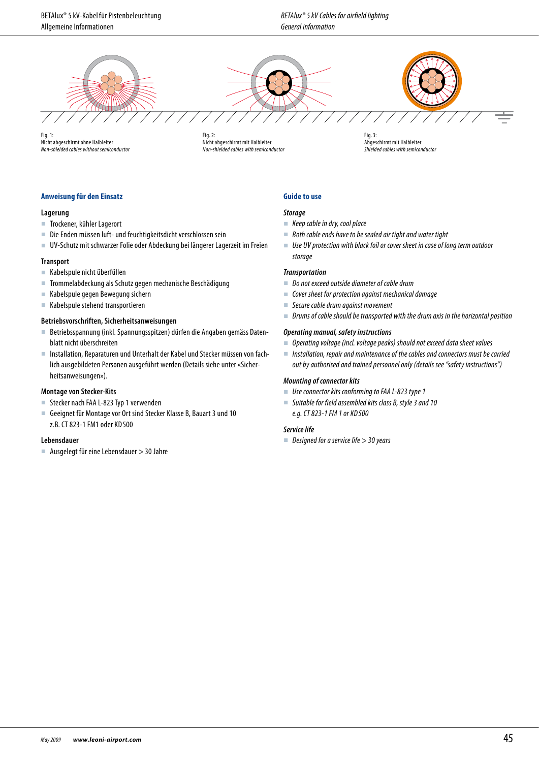BETAlux® 5kV-Kabel für Pistenbeleuchtung Allgemeine Informationen



Fig.1: Nicht abgeschirmt ohne Halbleiter *Non-shielded cables without semiconductor*

Fig.2: Nicht abgeschirmt mit Halbleiter *Non-shielded cables with semiconductor*

Fig.3: Abgeschirmt mit Halbleiter **Shielded cables with semiconductor** 

### **Anweisung für den Einsatz**

### **Lagerung**

- Trockener, kühler Lagerort
- Die Enden müssen luft- und feuchtigkeitsdicht verschlossen sein
- UV-Schutz mit schwarzer Folie oder Abdeckung bei längerer Lagerzeit im Freien

### **Transport**

- Kabelspule nicht überfüllen
- Trommelabdeckung als Schutz gegen mechanische Beschädigung
- Kabelspule gegen Bewegung sichern
- Kabelspule stehend transportieren

### **Betriebsvorschriften, Sicherheitsanweisungen**

- Betriebsspannung (inkl. Spannungsspitzen) dürfen die Angaben gemäss Datenblatt nicht überschreiten
- Installation, Reparaturen und Unterhalt der Kabel und Stecker müssen von fachlich ausgebildeten Personen ausgeführt werden (Details siehe unter «Sicherheitsanweisungen»).

### **Montage von Stecker-Kits**

- Stecker nach FAA L-823 Typ 1 verwenden
- Geeignet für Montage vor Ort sind Stecker Klasse B, Bauart 3 und 10 z.B. CT 823-1 FM1 oder KD 500

### **Lebensdauer**

 $\blacksquare$  Ausgelegt für eine Lebensdauer  $>$  30 Jahre

### **Guide to use**

### *Storage*

- *Keep cable in dry, cool place*
- *Both cable ends have to be sealed air tight and water tight*
- Use UV protection with black foil or cover sheet in case of long term outdoor *storage*

### *Transportation*

- *Do not exceed outside diameter of cable drum*
- *Cover sheet for protection against mechanical damage*
- *Secure cable drum against movement*
- *Drums of cable should be transported with the drum axis in the horizontal position*

### *Operating manual, safety instructions*

- *Operating voltage (incl. voltage peaks) should not exceed data sheet values*
- *Installation, repair and maintenance of the cables and connectors must be carried out by authorised and trained personnel only (details see "safety instructions")*

### *Mounting of connector kits*

- *Use connector kits conforming to FAA L-823 type 1*
- *Suitable for field assembled kits class B, style 3 and 10 e.g. CT 823-1 FM 1 or KD 500*

#### *Service life*

*Designed for a service life > 30 years*